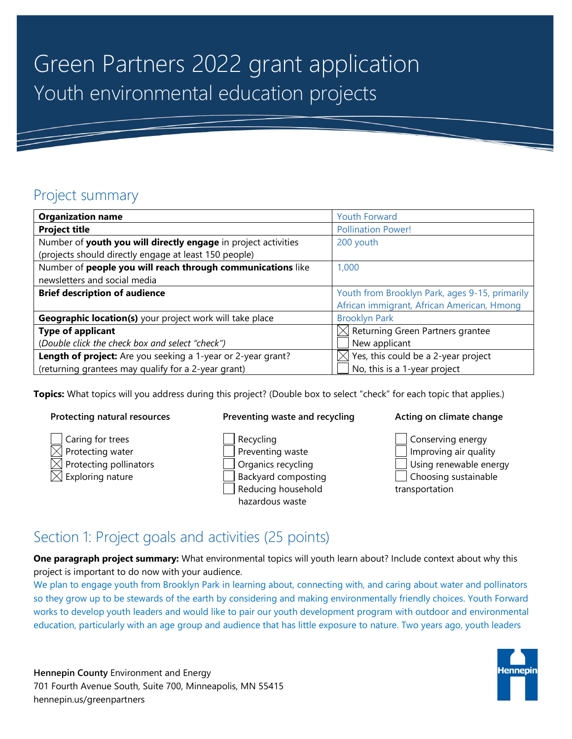# Green Partners 2022 grant application Youth environmental education projects

### Project summary

| <b>Organization name</b>                                       | <b>Youth Forward</b>                           |
|----------------------------------------------------------------|------------------------------------------------|
| <b>Project title</b>                                           | <b>Pollination Power!</b>                      |
| Number of youth you will directly engage in project activities | 200 youth                                      |
| (projects should directly engage at least 150 people)          |                                                |
| Number of people you will reach through communications like    | 1,000                                          |
| newsletters and social media                                   |                                                |
| <b>Brief description of audience</b>                           | Youth from Brooklyn Park, ages 9-15, primarily |
|                                                                | African immigrant, African American, Hmong     |
| Geographic location(s) your project work will take place       | <b>Brooklyn Park</b>                           |
| <b>Type of applicant</b>                                       | $\boxtimes$ Returning Green Partners grantee   |
| (Double click the check box and select "check")                | New applicant                                  |
| Length of project: Are you seeking a 1-year or 2-year grant?   | Yes, this could be a 2-year project            |
| (returning grantees may qualify for a 2-year grant)            | No, this is a 1-year project                   |

**Topics:** What topics will you address during this project? (Double box to select "check" for each topic that applies.)

#### **Protecting natural resources**

- Caring for trees Protecting water
- Protecting pollinators Exploring nature

#### **Preventing waste and recycling**

Recycling Preventing waste Organics recycling Backyard composting Reducing household hazardous waste

#### **Acting on climate change**



### Section 1: Project goals and activities (25 points)

**One paragraph project summary:** What environmental topics will youth learn about? Include context about why this project is important to do now with your audience.

We plan to engage youth from Brooklyn Park in learning about, connecting with, and caring about water and pollinators so they grow up to be stewards of the earth by considering and making environmentally friendly choices. Youth Forward works to develop youth leaders and would like to pair our youth development program with outdoor and environmental education, particularly with an age group and audience that has little exposure to nature. Two years ago, youth leaders

**Hennepin County** Environment and Energy 701 Fourth Avenue South, Suite 700, Minneapolis, MN 55415 hennepin.us/greenpartners

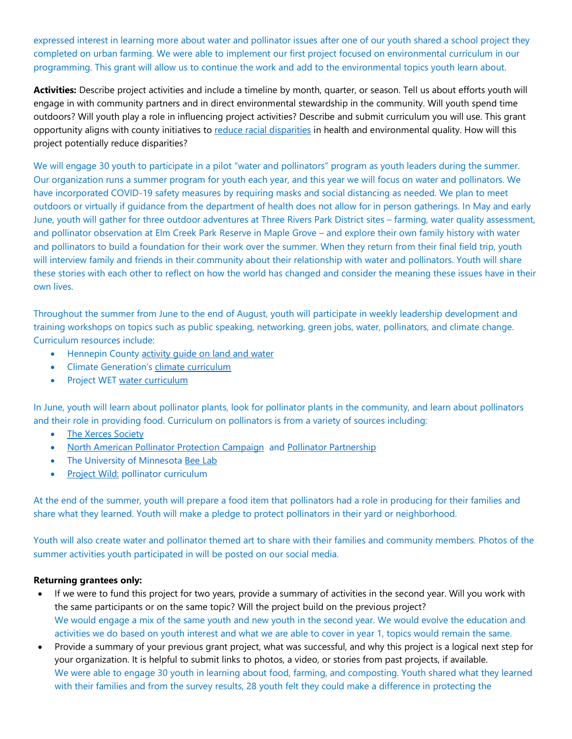expressed interest in learning more about water and pollinator issues after one of our youth shared a school project they completed on urban farming. We were able to implement our first project focused on environmental curriculum in our programming. This grant will allow us to continue the work and add to the environmental topics youth learn about.

**Activities:** Describe project activities and include a timeline by month, quarter, or season. Tell us about efforts youth will engage in with community partners and in direct environmental stewardship in the community. Will youth spend time outdoors? Will youth play a role in influencing project activities? Describe and submit curriculum you will use. This grant opportunity aligns with county initiatives to [reduce racial disparities](https://www.hennepin.us/your-government/overview/addressing-disparities-in-hennepin-county) in health and environmental quality. How will this project potentially reduce disparities?

We will engage 30 youth to participate in a pilot "water and pollinators" program as youth leaders during the summer. Our organization runs a summer program for youth each year, and this year we will focus on water and pollinators. We have incorporated COVID-19 safety measures by requiring masks and social distancing as needed. We plan to meet outdoors or virtually if guidance from the department of health does not allow for in person gatherings. In May and early June, youth will gather for three outdoor adventures at Three Rivers Park District sites – farming, water quality assessment, and pollinator observation at Elm Creek Park Reserve in Maple Grove – and explore their own family history with water and pollinators to build a foundation for their work over the summer. When they return from their final field trip, youth will interview family and friends in their community about their relationship with water and pollinators. Youth will share these stories with each other to reflect on how the world has changed and consider the meaning these issues have in their own lives.

Throughout the summer from June to the end of August, youth will participate in weekly leadership development and training workshops on topics such as public speaking, networking, green jobs, water, pollinators, and climate change. Curriculum resources include:

- Hennepin County activity quide on land and water
- Climate Generation's [climate curriculum](https://www.climategen.org/our-core-programs/climate-change-education/curriculum/)
- Project WET [water curriculum](https://www.dnr.state.mn.us/projectwet/index.html)

In June, youth will learn about pollinator plants, look for pollinator plants in the community, and learn about pollinators and their role in providing food. Curriculum on pollinators is from a variety of sources including:

- [The Xerces Society](http://www.xerces.org/)
- **[North American Pollinator Protection Campaign](http://pollinator.org/nappc/index.html) and [Pollinator Partnership](http://pollinator.org/index.html)**
- The University of Minnesota [Bee Lab](http://beelab.umn.edu/)
- [Project Wild:](https://www.dnr.state.mn.us/projectwild/index.html) pollinator curriculum

At the end of the summer, youth will prepare a food item that pollinators had a role in producing for their families and share what they learned. Youth will make a pledge to protect pollinators in their yard or neighborhood.

Youth will also create water and pollinator themed art to share with their families and community members. Photos of the summer activities youth participated in will be posted on our social media.

#### **Returning grantees only:**

- If we were to fund this project for two years, provide a summary of activities in the second year. Will you work with the same participants or on the same topic? Will the project build on the previous project? We would engage a mix of the same youth and new youth in the second year. We would evolve the education and activities we do based on youth interest and what we are able to cover in year 1, topics would remain the same.
- Provide a summary of your previous grant project, what was successful, and why this project is a logical next step for your organization. It is helpful to submit links to photos, a video, or stories from past projects, if available. We were able to engage 30 youth in learning about food, farming, and composting. Youth shared what they learned with their families and from the survey results, 28 youth felt they could make a difference in protecting the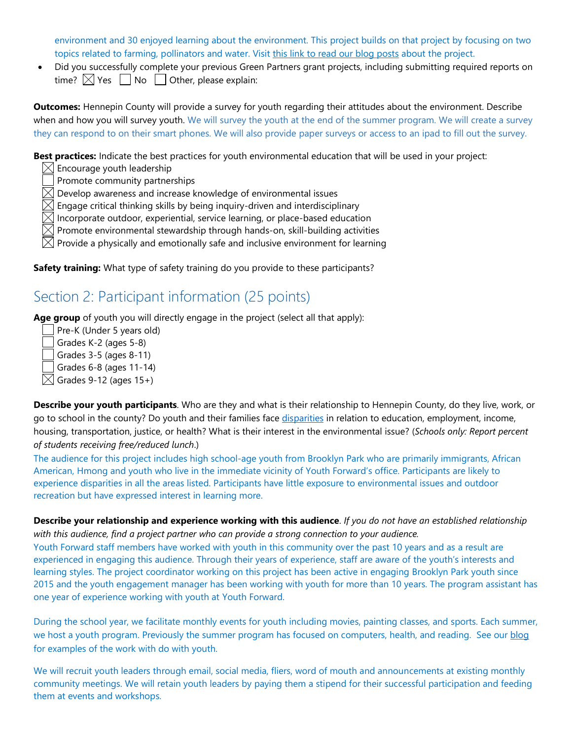environment and 30 enjoyed learning about the environment. This project builds on that project by focusing on two topics related to farming, pollinators and water. Visit this link to read our blog posts about the project.

• Did you successfully complete your previous Green Partners grant projects, including submitting required reports on time?  $\boxtimes$  Yes  $\Box$  No  $\Box$  Other, please explain:

**Outcomes:** Hennepin County will provide a survey for youth regarding their attitudes about the environment. Describe when and how you will survey youth. We will survey the youth at the end of the summer program. We will create a survey they can respond to on their smart phones. We will also provide paper surveys or access to an ipad to fill out the survey.

**Best practices:** Indicate the best practices for youth environmental education that will be used in your project:

 $\boxtimes$  Encourage youth leadership

Promote community partnerships

 $\boxtimes$  Develop awareness and increase knowledge of environmental issues

Engage critical thinking skills by being inquiry-driven and interdisciplinary

Incorporate outdoor, experiential, service learning, or place-based education

Promote environmental stewardship through hands-on, skill-building activities

Provide a physically and emotionally safe and inclusive environment for learning

**Safety training:** What type of safety training do you provide to these participants?

### Section 2: Participant information (25 points)

Age group of youth you will directly engage in the project (select all that apply):

Pre-K (Under 5 years old) Grades K-2 (ages 5-8) Grades 3-5 (ages 8-11)  $\Box$  Grades 6-8 (ages 11-14)  $\boxtimes$  Grades 9-12 (ages 15+)

| Describe your youth participants. Who are they and what is their relationship to Hennepin County, do they live, work, or      |
|-------------------------------------------------------------------------------------------------------------------------------|
| go to school in the county? Do youth and their families face disparities in relation to education, employment, income,        |
| housing, transportation, justice, or health? What is their interest in the environmental issue? (Schools only: Report percent |
| of students receiving free/reduced lunch.)                                                                                    |

The audience for this project includes high school-age youth from Brooklyn Park who are primarily immigrants, African American, Hmong and youth who live in the immediate vicinity of Youth Forward's office. Participants are likely to experience disparities in all the areas listed. Participants have little exposure to environmental issues and outdoor recreation but have expressed interest in learning more.

**Describe your relationship and experience working with this audience**. *If you do not have an established relationship with this audience, find a project partner who can provide a strong connection to your audience.*

Youth Forward staff members have worked with youth in this community over the past 10 years and as a result are experienced in engaging this audience. Through their years of experience, staff are aware of the youth's interests and learning styles. The project coordinator working on this project has been active in engaging Brooklyn Park youth since 2015 and the youth engagement manager has been working with youth for more than 10 years. The program assistant has one year of experience working with youth at Youth Forward.

During the school year, we facilitate monthly events for youth including movies, painting classes, and sports. Each summer, we host a youth program. Previously the summer program has focused on computers, health, and reading. See our blog for examples of the work with do with youth.

We will recruit youth leaders through email, social media, fliers, word of mouth and announcements at existing monthly community meetings. We will retain youth leaders by paying them a stipend for their successful participation and feeding them at events and workshops.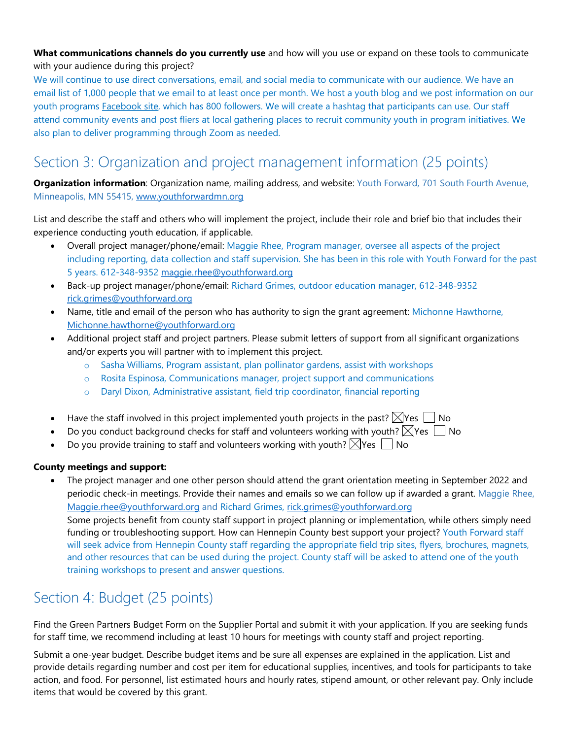#### **What communications channels do you currently use** and how will you use or expand on these tools to communicate with your audience during this project?

We will continue to use direct conversations, email, and social media to communicate with our audience. We have an email list of 1,000 people that we email to at least once per month. We host a youth blog and we post information on our youth programs **Facebook site**, which has 800 followers. We will create a hashtag that participants can use. Our staff attend community events and post fliers at local gathering places to recruit community youth in program initiatives. We also plan to deliver programming through Zoom as needed.

## Section 3: Organization and project management information (25 points)

**Organization information**: Organization name, mailing address, and website: Youth Forward, 701 South Fourth Avenue, Minneapolis, MN 55415, [www.youthforwardmn.org](http://www.youthforwardmn.org/)

List and describe the staff and others who will implement the project, include their role and brief bio that includes their experience conducting youth education, if applicable.

- Overall project manager/phone/email: Maggie Rhee, Program manager, oversee all aspects of the project including reporting, data collection and staff supervision. She has been in this role with Youth Forward for the past 5 years. 612-348-9352 [maggie.rhee@youthforward.org](mailto:maggie.rhee@youthforward.org)
- Back-up project manager/phone/email: Richard Grimes, outdoor education manager, 612-348-9352 [rick.grimes@youthforward.org](mailto:rick.grimes@youthforward.org)
- Name, title and email of the person who has authority to sign the grant agreement: Michonne Hawthorne, [Michonne.hawthorne@youthforward.org](mailto:Michonne.hawthorne@youthforward.org)
- Additional project staff and project partners. Please submit letters of support from all significant organizations and/or experts you will partner with to implement this project.
	- o Sasha Williams, Program assistant, plan pollinator gardens, assist with workshops
	- o Rosita Espinosa, Communications manager, project support and communications
	- o Daryl Dixon, Administrative assistant, field trip coordinator, financial reporting
- Have the staff involved in this project implemented youth projects in the past?  $\triangledown$  Yes  $\blacksquare$  No
- Do you conduct background checks for staff and volunteers working with youth?  $\boxtimes$  Yes  $\Box$  No
- Do you provide training to staff and volunteers working with youth?  $\forall$  Yes  $\Box$  No

#### **County meetings and support:**

• The project manager and one other person should attend the grant orientation meeting in September 2022 and periodic check-in meetings. Provide their names and emails so we can follow up if awarded a grant. Maggie Rhee, [Maggie.rhee@youthforward.org](mailto:Maggie.rhee@youthforward.org) and Richard Grimes, [rick.grimes@youthforward.org](mailto:rick.grimes@youthforward.org) Some projects benefit from county staff support in project planning or implementation, while others simply need funding or troubleshooting support. How can Hennepin County best support your project? Youth Forward staff will seek advice from Hennepin County staff regarding the appropriate field trip sites, flyers, brochures, magnets, and other resources that can be used during the project. County staff will be asked to attend one of the youth training workshops to present and answer questions.

### Section 4: Budget (25 points)

Find the Green Partners Budget Form on the Supplier Portal and submit it with your application. If you are seeking funds for staff time, we recommend including at least 10 hours for meetings with county staff and project reporting.

Submit a one-year budget. Describe budget items and be sure all expenses are explained in the application. List and provide details regarding number and cost per item for educational supplies, incentives, and tools for participants to take action, and food. For personnel, list estimated hours and hourly rates, stipend amount, or other relevant pay. Only include items that would be covered by this grant.